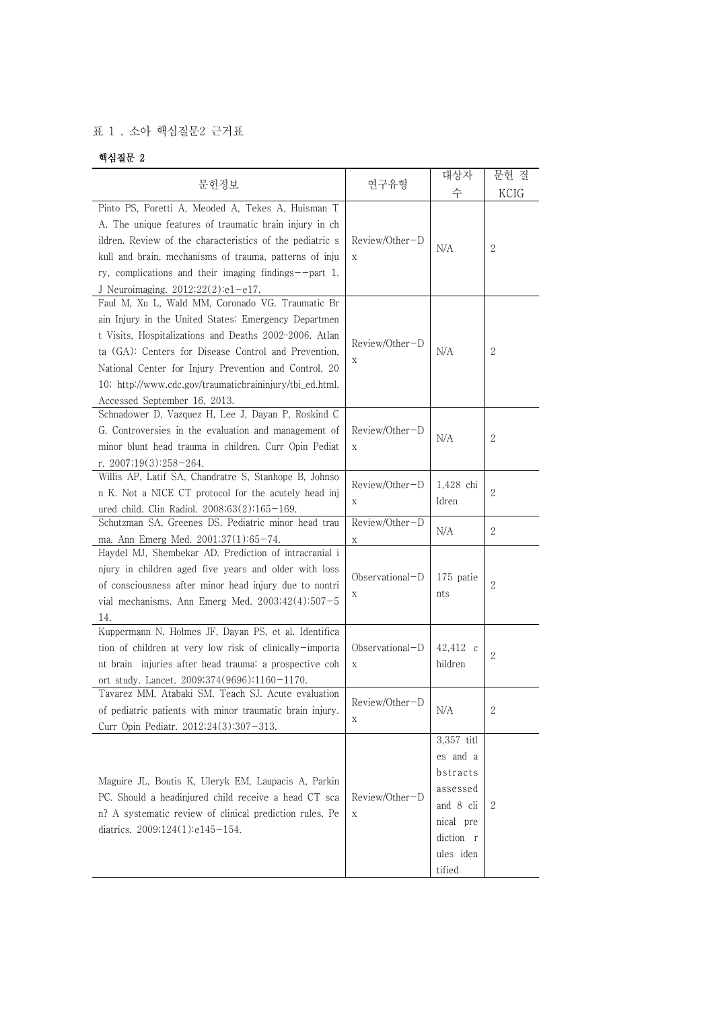## 표 1 . 소아 핵심질문2 근거표

## 핵심질문 2

| 문헌정보                                                                                                                                                                                                                                                                                                                                                                            | 연구유형                           | 대상자<br>수                                                                                                     | 문헌 질<br>KCIG   |
|---------------------------------------------------------------------------------------------------------------------------------------------------------------------------------------------------------------------------------------------------------------------------------------------------------------------------------------------------------------------------------|--------------------------------|--------------------------------------------------------------------------------------------------------------|----------------|
| Pinto PS, Poretti A, Meoded A, Tekes A, Huisman T<br>A. The unique features of traumatic brain injury in ch<br>ildren. Review of the characteristics of the pediatric s<br>kull and brain, mechanisms of trauma, patterns of inju<br>ry, complications and their imaging findings--part 1.<br>J Neuroimaging. $2012;22(2):e1-e17$ .                                             | Review/Other-D<br>$\mathbf X$  | N/A                                                                                                          | $\mathbf{2}$   |
| Faul M, Xu L, Wald MM, Coronado VG. Traumatic Br<br>ain Injury in the United States: Emergency Departmen<br>t Visits, Hospitalizations and Deaths 2002-2006. Atlan<br>ta (GA): Centers for Disease Control and Prevention,<br>National Center for Injury Prevention and Control. 20<br>10; http://www.cdc.gov/traumaticbraininjury/tbi_ed.html.<br>Accessed September 16, 2013. | Review/Other-D<br>Χ            | N/A                                                                                                          | $\mathbf{2}$   |
| Schnadower D, Vazquez H, Lee J, Dayan P, Roskind C<br>G. Controversies in the evaluation and management of<br>minor blunt head trauma in children. Curr Opin Pediat<br>r. $2007;19(3):258-264$ .                                                                                                                                                                                | Review/Other-D<br>$\mathbf X$  | N/A                                                                                                          | 2              |
| Willis AP, Latif SA, Chandratre S, Stanhope B, Johnso<br>n K. Not a NICE CT protocol for the acutely head inj<br>ured child. Clin Radiol. 2008;63(2):165-169.                                                                                                                                                                                                                   | Review/Other-D<br>Χ            | 1,428 chi<br>ldren                                                                                           | $\overline{2}$ |
| Schutzman SA, Greenes DS. Pediatric minor head trau<br>ma. Ann Emerg Med. 2001;37(1):65-74.                                                                                                                                                                                                                                                                                     | Review/Other-D<br>$\mathbf X$  | N/A                                                                                                          | $\mathbf{2}$   |
| Haydel MJ, Shembekar AD. Prediction of intracranial i<br>njury in children aged five years and older with loss<br>of consciousness after minor head injury due to nontri<br>vial mechanisms. Ann Emerg Med. $2003;42(4):507-5$<br>14.                                                                                                                                           | Observational-D<br>Χ           | 175 patie<br>nts                                                                                             | $\overline{2}$ |
| Kuppermann N, Holmes JF, Dayan PS, et al. Identifica<br>tion of children at very low risk of clinically-importa<br>nt brain injuries after head trauma: a prospective coh<br>ort study. Lancet. 2009;374(9696):1160-1170.                                                                                                                                                       | Observational-D<br>$\mathbf X$ | 42,412 c<br>hildren                                                                                          | 2              |
| Tavarez MM, Atabaki SM, Teach SJ. Acute evaluation<br>of pediatric patients with minor traumatic brain injury.<br>Curr Opin Pediatr. 2012;24(3):307-313.                                                                                                                                                                                                                        | Review/Other-D<br>Χ            | N/A                                                                                                          | 2              |
| Maguire JL, Boutis K, Uleryk EM, Laupacis A, Parkin<br>PC. Should a headinjured child receive a head CT sca<br>n? A systematic review of clinical prediction rules. Pe<br>diatrics. 2009;124(1):e145-154.                                                                                                                                                                       | Review/Other-D<br>$\mathbf X$  | 3,357 titl<br>es and a<br>bstracts<br>assessed<br>and 8 cli<br>nical pre<br>diction r<br>ules iden<br>tified | 2              |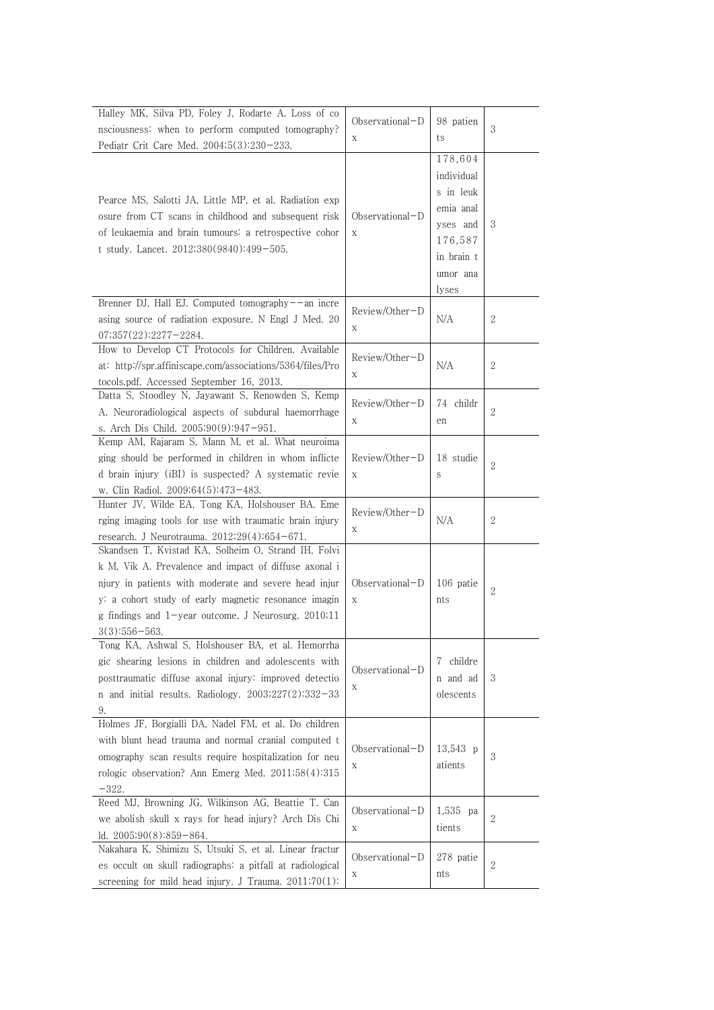| Halley MK, Silva PD, Foley J, Rodarte A. Loss of co<br>nsciousness: when to perform computed tomography?<br>Pediatr Crit Care Med. 2004;5(3):230-233.                                                                                                                                                     | $Observational-D$<br>$\mathbf X$ | 98 patien<br>ts                                                                                           | 3          |
|-----------------------------------------------------------------------------------------------------------------------------------------------------------------------------------------------------------------------------------------------------------------------------------------------------------|----------------------------------|-----------------------------------------------------------------------------------------------------------|------------|
| Pearce MS, Salotti JA, Little MP, et al. Radiation exp<br>osure from CT scans in childhood and subsequent risk<br>of leukaemia and brain tumours: a retrospective cohor<br>t study. Lancet. 2012;380(9840):499-505.                                                                                       | Observational-D<br>X             | 178,604<br>individual<br>s in leuk<br>emia anal<br>yses and<br>176,587<br>in brain t<br>umor ana<br>lyses | 3          |
| Brenner DJ, Hall EJ. Computed tomography--an incre<br>asing source of radiation exposure. N Engl J Med. 20<br>$07;357(22):2277-2284.$                                                                                                                                                                     | Review/Other-D<br>X              | N/A                                                                                                       | 2          |
| How to Develop CT Protocols for Children. Available<br>at: http://spr.affiniscape.com/associations/5364/files/Pro<br>tocols.pdf. Accessed September 16, 2013.                                                                                                                                             | Review/Other-D<br>$\mathbf X$    | N/A                                                                                                       | 2          |
| Datta S, Stoodley N, Jayawant S, Renowden S, Kemp<br>A. Neuroradiological aspects of subdural haemorrhage<br>s. Arch Dis Child. 2005;90(9):947-951.                                                                                                                                                       | Review/Other-D<br>Χ              | 74 childr<br>en                                                                                           | 2          |
| Kemp AM, Rajaram S, Mann M, et al. What neuroima<br>ging should be performed in children in whom inflicte<br>d brain injury (iBI) is suspected? A systematic revie<br>w. Clin Radiol. 2009;64(5):473-483.                                                                                                 | Review/Other-D<br>$\mathbf X$    | 18 studie<br>S                                                                                            | 2          |
| Hunter JV, Wilde EA, Tong KA, Holshouser BA. Eme<br>rging imaging tools for use with traumatic brain injury<br>research. J Neurotrauma. $2012;29(4):654-671$ .                                                                                                                                            | Review/Other-D<br>$\mathbf X$    | N/A                                                                                                       | 2          |
| Skandsen T, Kvistad KA, Solheim O, Strand IH, Folvi<br>k M, Vik A. Prevalence and impact of diffuse axonal i<br>njury in patients with moderate and severe head injur<br>y: a cohort study of early magnetic resonance imagin<br>g findings and 1-year outcome. J Neurosurg. 2010;11<br>$3(3):556 - 563.$ | $Observational-D$<br>$\mathbf X$ | 106 patie<br>nts                                                                                          | 2          |
| Tong KA, Ashwal S, Holshouser BA, et al. Hemorrha<br>gic shearing lesions in children and adolescents with<br>posttraumatic diffuse axonal injury: improved detectio<br>n and initial results. Radiology. $2003;227(2):332-33$<br>9.                                                                      | Observational-D<br>Χ             | 7 childre<br>n and ad<br>olescents                                                                        | 3          |
| Holmes JF, Borgialli DA, Nadel FM, et al. Do children<br>with blunt head trauma and normal cranial computed t<br>omography scan results require hospitalization for neu<br>rologic observation? Ann Emerg Med. 2011;58(4):315<br>$-322.$                                                                  | Observational-D<br>$\mathbf X$   | 13,543 p<br>atients                                                                                       | $\sqrt{3}$ |
| Reed MJ, Browning JG, Wilkinson AG, Beattie T. Can<br>we abolish skull x rays for head injury? Arch Dis Chi<br>ld. $2005;90(8):859-864$ .                                                                                                                                                                 | Observational-D<br>X             | 1,535 pa<br>tients                                                                                        | 2          |
| Nakahara K, Shimizu S, Utsuki S, et al. Linear fractur<br>es occult on skull radiographs: a pitfall at radiological<br>screening for mild head injury. J Trauma. 2011;70(1):                                                                                                                              | Observational-D<br>X             | 278 patie<br>nts                                                                                          | 2          |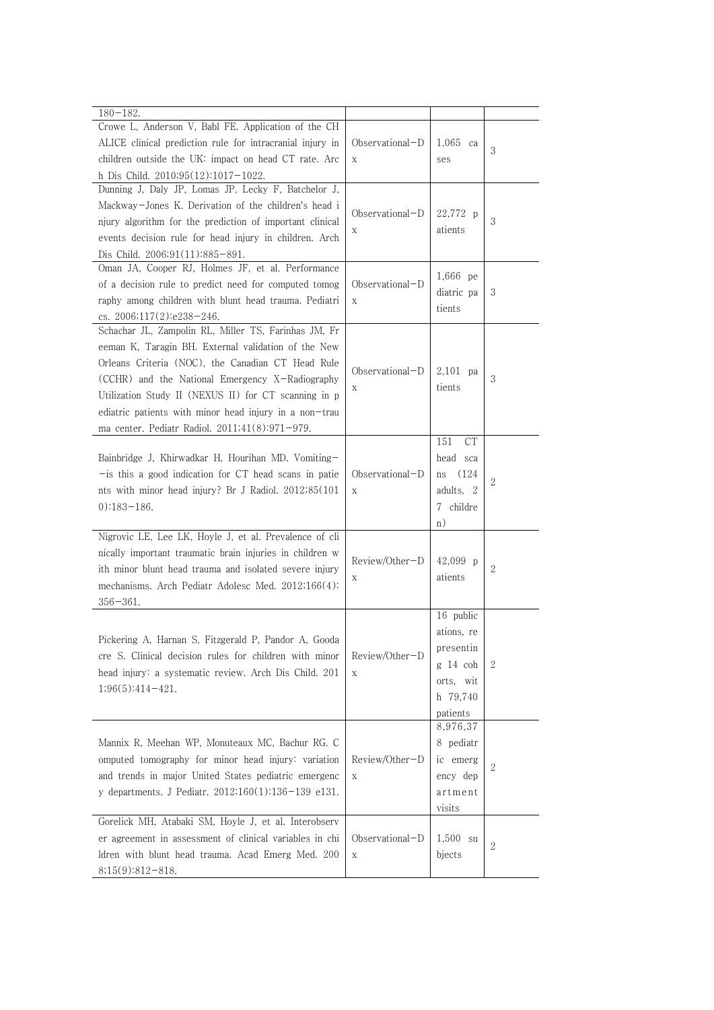| $180 - 182.$<br>Crowe L, Anderson V, Babl FE. Application of the CH<br>ALICE clinical prediction rule for intracranial injury in<br>children outside the UK: impact on head CT rate. Arc<br>h Dis Child. 2010;95(12):1017-1022.                                                                                                                                                         | Observational-D<br>X          | $1,065$ ca<br>ses                                                                     | 3 |
|-----------------------------------------------------------------------------------------------------------------------------------------------------------------------------------------------------------------------------------------------------------------------------------------------------------------------------------------------------------------------------------------|-------------------------------|---------------------------------------------------------------------------------------|---|
| Dunning J, Daly JP, Lomas JP, Lecky F, Batchelor J,<br>Mackway-Jones K. Derivation of the children's head i<br>njury algorithm for the prediction of important clinical<br>events decision rule for head injury in children. Arch<br>Dis Child. 2006;91(11):885-891.                                                                                                                    | $Observational-D$<br>Х        | 22,772 p<br>atients                                                                   | 3 |
| Oman JA, Cooper RJ, Holmes JF, et al. Performance<br>of a decision rule to predict need for computed tomog<br>raphy among children with blunt head trauma. Pediatri<br>cs. 2006;117(2):e238-246.                                                                                                                                                                                        | $Observational-D$<br>X        | 1,666 pe<br>diatric pa<br>tients                                                      | 3 |
| Schachar JL, Zampolin RL, Miller TS, Farinhas JM, Fr<br>eeman K, Taragin BH. External validation of the New<br>Orleans Criteria (NOC), the Canadian CT Head Rule<br>(CCHR) and the National Emergency X-Radiography<br>Utilization Study II (NEXUS II) for CT scanning in p<br>ediatric patients with minor head injury in a non-trau<br>ma center. Pediatr Radiol. 2011;41(8):971-979. | $Observational-D$<br>X        | $2.101$ pa<br>tients                                                                  | 3 |
| Bainbridge J, Khirwadkar H, Hourihan MD. Vomiting-<br>- is this a good indication for CT head scans in patie<br>nts with minor head injury? Br J Radiol. 2012;85(101)<br>$0)$ :183-186.                                                                                                                                                                                                 | $Observational-D$<br>X        | 151<br>CT<br>head sca<br>(124)<br>ns<br>adults, 2<br>7 childre<br>n)                  | 2 |
| Nigrovic LE, Lee LK, Hoyle J, et al. Prevalence of cli<br>nically important traumatic brain injuries in children w<br>ith minor blunt head trauma and isolated severe injury<br>mechanisms. Arch Pediatr Adolesc Med. 2012;166(4):<br>$356 - 361.$                                                                                                                                      | Review/Other-D<br>X           | 42,099 p<br>atients                                                                   | 2 |
| Pickering A, Harnan S, Fitzgerald P, Pandor A, Gooda<br>cre S. Clinical decision rules for children with minor<br>head injury: a systematic review. Arch Dis Child. 201<br>$1;96(5):414-421.$                                                                                                                                                                                           | Review/Other-D<br>X           | 16 public<br>ations, re<br>presentin<br>g 14 coh<br>orts, wit<br>h 79,740<br>patients | 2 |
| Mannix R, Meehan WP, Monuteaux MC, Bachur RG. C<br>omputed tomography for minor head injury: variation<br>and trends in major United States pediatric emergenc<br>y departments. J Pediatr. 2012;160(1):136-139 e131.                                                                                                                                                                   | Review/Other-D<br>$\mathbf X$ | 8,976,37<br>8 pediatr<br>ic emerg<br>ency dep<br>artment<br>visits                    | 2 |
| Gorelick MH, Atabaki SM, Hoyle J, et al. Interobserv<br>er agreement in assessment of clinical variables in chi<br>ldren with blunt head trauma. Acad Emerg Med. 200<br>$8;15(9):812-818.$                                                                                                                                                                                              | Observational-D<br>X          | $1,500$ su<br>bjects                                                                  | 2 |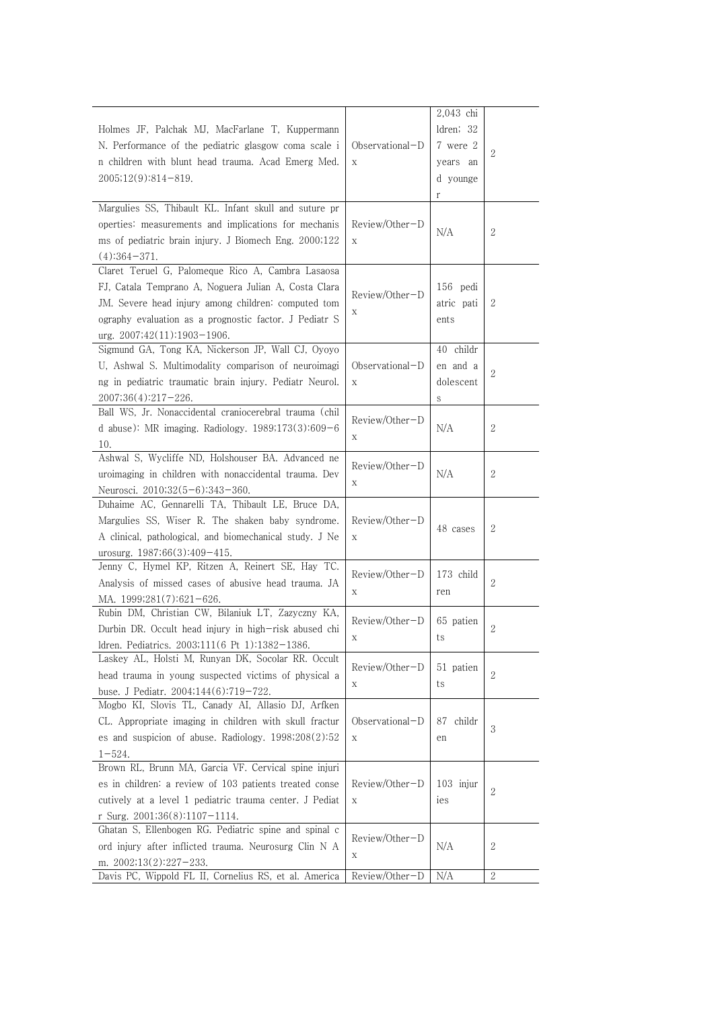|                                                                                    |                   | 2,043 chi    |                |
|------------------------------------------------------------------------------------|-------------------|--------------|----------------|
| Holmes JF, Palchak MJ, MacFarlane T, Kuppermann                                    |                   | ldren; 32    |                |
| N. Performance of the pediatric glasgow coma scale i                               | Observational-D   | 7 were 2     |                |
| n children with blunt head trauma. Acad Emerg Med.                                 | X                 | years an     | $\mathbf{2}$   |
| $2005;12(9):814-819.$                                                              |                   |              |                |
|                                                                                    |                   | d younge     |                |
| Margulies SS, Thibault KL. Infant skull and suture pr                              |                   | r            |                |
|                                                                                    |                   |              |                |
| operties: measurements and implications for mechanis                               | Review/Other-D    | N/A          | 2              |
| ms of pediatric brain injury. J Biomech Eng. 2000;122                              | X                 |              |                |
| $(4):364-371.$                                                                     |                   |              |                |
| Claret Teruel G, Palomeque Rico A, Cambra Lasaosa                                  |                   |              |                |
| FJ, Catala Temprano A, Noguera Julian A, Costa Clara                               | Review/Other-D    | 156 pedi     |                |
| JM. Severe head injury among children: computed tom                                | X                 | atric pati   | 2              |
| ography evaluation as a prognostic factor. J Pediatr S                             |                   | ents         |                |
| $urg. 2007;42(11):1903-1906.$                                                      |                   |              |                |
| Sigmund GA, Tong KA, Nickerson JP, Wall CJ, Oyoyo                                  |                   | 40 childr    |                |
| U, Ashwal S. Multimodality comparison of neuroimagi                                | $Observational-D$ | en and a     | $\sqrt{2}$     |
| ng in pediatric traumatic brain injury. Pediatr Neurol.                            | X                 | dolescent    |                |
| 2007;36(4):217-226.                                                                |                   | S            |                |
| Ball WS, Jr. Nonaccidental craniocerebral trauma (chil                             | Review/Other-D    |              |                |
| d abuse): MR imaging. Radiology. $1989;173(3):609-6$                               |                   | N/A          | $\mathbf{2}$   |
| 10.                                                                                | Χ                 |              |                |
| Ashwal S, Wycliffe ND, Holshouser BA. Advanced ne                                  |                   |              |                |
| uroimaging in children with nonaccidental trauma. Dev                              | Review/Other-D    | N/A          | $\mathbf{2}$   |
| Neurosci. 2010;32(5-6):343-360.                                                    | Х                 |              |                |
| Duhaime AC, Gennarelli TA, Thibault LE, Bruce DA,                                  |                   |              |                |
| Margulies SS, Wiser R. The shaken baby syndrome.                                   | Review/Other-D    |              |                |
| A clinical, pathological, and biomechanical study. J Ne                            | Х                 | 48 cases     | 2              |
| urosurg. $1987;66(3):409-415$ .                                                    |                   |              |                |
| Jenny C, Hymel KP, Ritzen A, Reinert SE, Hay TC.                                   |                   |              |                |
| Analysis of missed cases of abusive head trauma. JA                                | Review/Other-D    | 173 child    | 2              |
| MA. 1999;281(7):621-626.                                                           | Х                 | ren          |                |
| Rubin DM, Christian CW, Bilaniuk LT, Zazyczny KA,                                  |                   |              |                |
| Durbin DR. Occult head injury in high-risk abused chi                              | Review/Other-D    | 65 patien    | 2              |
| ldren. Pediatrics. 2003;111(6 Pt 1):1382-1386.                                     | Х                 | ts           |                |
| Laskey AL, Holsti M, Runyan DK, Socolar RR. Occult                                 |                   |              |                |
| head trauma in young suspected victims of physical a                               | Review/Other-D    | 51 patien    | $\overline{2}$ |
| buse. J Pediatr. 2004;144(6):719-722.                                              | X                 | ts           |                |
| Mogbo KI, Slovis TL, Canady AI, Allasio DJ, Arfken                                 |                   |              |                |
| CL. Appropriate imaging in children with skull fractur                             | Observational-D   | childr<br>87 |                |
| es and suspicion of abuse. Radiology. $1998;208(2):52$                             | X                 | en           | 3              |
| $1 - 524$ .                                                                        |                   |              |                |
| Brown RL, Brunn MA, Garcia VF. Cervical spine injuri                               |                   |              |                |
| es in children: a review of 103 patients treated conse                             | Review/Other-D    | $103$ injur  |                |
| cutively at a level 1 pediatric trauma center. J Pediat                            | Χ                 | ies          | $\overline{2}$ |
| r Surg. $2001;36(8):1107-1114$ .                                                   |                   |              |                |
| Ghatan S, Ellenbogen RG. Pediatric spine and spinal c                              |                   |              |                |
| ord injury after inflicted trauma. Neurosurg Clin N A                              | Review/Other-D    | N/A          | 2              |
|                                                                                    | Х                 |              |                |
| m. $2002;13(2):227-233$ .<br>Davis PC, Wippold FL II, Cornelius RS, et al. America | Review/Other-D    | N/A          | $\sqrt{2}$     |
|                                                                                    |                   |              |                |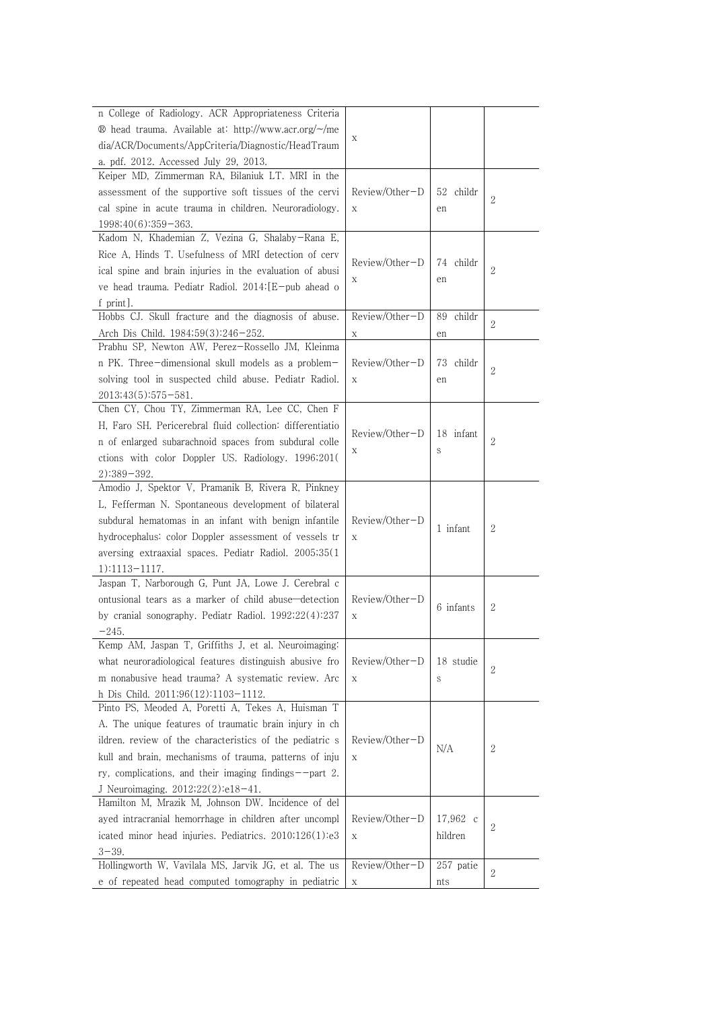| n College of Radiology. ACR Appropriateness Criteria<br>$\circledR$ head trauma. Available at http://www.acr.org/ $\sim$ /me<br>X<br>dia/ACR/Documents/AppCriteria/Diagnostic/HeadTraum<br>a. pdf. 2012. Accessed July 29, 2013.<br>Keiper MD, Zimmerman RA, Bilaniuk LT. MRI in the<br>Review/Other-D<br>assessment of the supportive soft tissues of the cervi<br>52 childr<br>$\overline{2}$<br>cal spine in acute trauma in children. Neuroradiology.<br>X<br>en<br>$1998;40(6):359-363.$<br>Kadom N, Khademian Z, Vezina G, Shalaby-Rana E,<br>Rice A, Hinds T. Usefulness of MRI detection of cerv<br>Review/Other-D<br>74 childr<br>2<br>ical spine and brain injuries in the evaluation of abusi<br>X<br>en<br>ve head trauma. Pediatr Radiol. 2014: [E-pub ahead o<br>f print]. |
|------------------------------------------------------------------------------------------------------------------------------------------------------------------------------------------------------------------------------------------------------------------------------------------------------------------------------------------------------------------------------------------------------------------------------------------------------------------------------------------------------------------------------------------------------------------------------------------------------------------------------------------------------------------------------------------------------------------------------------------------------------------------------------------|
|                                                                                                                                                                                                                                                                                                                                                                                                                                                                                                                                                                                                                                                                                                                                                                                          |
|                                                                                                                                                                                                                                                                                                                                                                                                                                                                                                                                                                                                                                                                                                                                                                                          |
|                                                                                                                                                                                                                                                                                                                                                                                                                                                                                                                                                                                                                                                                                                                                                                                          |
|                                                                                                                                                                                                                                                                                                                                                                                                                                                                                                                                                                                                                                                                                                                                                                                          |
|                                                                                                                                                                                                                                                                                                                                                                                                                                                                                                                                                                                                                                                                                                                                                                                          |
|                                                                                                                                                                                                                                                                                                                                                                                                                                                                                                                                                                                                                                                                                                                                                                                          |
|                                                                                                                                                                                                                                                                                                                                                                                                                                                                                                                                                                                                                                                                                                                                                                                          |
|                                                                                                                                                                                                                                                                                                                                                                                                                                                                                                                                                                                                                                                                                                                                                                                          |
|                                                                                                                                                                                                                                                                                                                                                                                                                                                                                                                                                                                                                                                                                                                                                                                          |
|                                                                                                                                                                                                                                                                                                                                                                                                                                                                                                                                                                                                                                                                                                                                                                                          |
|                                                                                                                                                                                                                                                                                                                                                                                                                                                                                                                                                                                                                                                                                                                                                                                          |
|                                                                                                                                                                                                                                                                                                                                                                                                                                                                                                                                                                                                                                                                                                                                                                                          |
|                                                                                                                                                                                                                                                                                                                                                                                                                                                                                                                                                                                                                                                                                                                                                                                          |
| Hobbs CJ. Skull fracture and the diagnosis of abuse.<br>Review/Other-D<br>89<br>childr<br>2                                                                                                                                                                                                                                                                                                                                                                                                                                                                                                                                                                                                                                                                                              |
| Arch Dis Child. 1984;59(3):246-252.<br>X<br>en                                                                                                                                                                                                                                                                                                                                                                                                                                                                                                                                                                                                                                                                                                                                           |
| Prabhu SP, Newton AW, Perez-Rossello JM, Kleinma                                                                                                                                                                                                                                                                                                                                                                                                                                                                                                                                                                                                                                                                                                                                         |
| Review/Other-D<br>n PK. Three-dimensional skull models as a problem-<br>73.<br>childr<br>$\mathbf{2}$                                                                                                                                                                                                                                                                                                                                                                                                                                                                                                                                                                                                                                                                                    |
| solving tool in suspected child abuse. Pediatr Radiol.<br>X<br>en                                                                                                                                                                                                                                                                                                                                                                                                                                                                                                                                                                                                                                                                                                                        |
| $2013;43(5):575-581.$                                                                                                                                                                                                                                                                                                                                                                                                                                                                                                                                                                                                                                                                                                                                                                    |
| Chen CY, Chou TY, Zimmerman RA, Lee CC, Chen F                                                                                                                                                                                                                                                                                                                                                                                                                                                                                                                                                                                                                                                                                                                                           |
| H, Faro SH. Pericerebral fluid collection: differentiatio                                                                                                                                                                                                                                                                                                                                                                                                                                                                                                                                                                                                                                                                                                                                |
| Review/Other-D<br>18 infant<br>$\overline{2}$<br>n of enlarged subarachnoid spaces from subdural colle                                                                                                                                                                                                                                                                                                                                                                                                                                                                                                                                                                                                                                                                                   |
| Х<br>S<br>ctions with color Doppler US. Radiology. 1996;201(                                                                                                                                                                                                                                                                                                                                                                                                                                                                                                                                                                                                                                                                                                                             |
| $2):389-392.$                                                                                                                                                                                                                                                                                                                                                                                                                                                                                                                                                                                                                                                                                                                                                                            |
| Amodio J, Spektor V, Pramanik B, Rivera R, Pinkney                                                                                                                                                                                                                                                                                                                                                                                                                                                                                                                                                                                                                                                                                                                                       |
| L, Fefferman N. Spontaneous development of bilateral                                                                                                                                                                                                                                                                                                                                                                                                                                                                                                                                                                                                                                                                                                                                     |
| subdural hematomas in an infant with benign infantile<br>Review/Other-D                                                                                                                                                                                                                                                                                                                                                                                                                                                                                                                                                                                                                                                                                                                  |
| $\mathbf{2}$<br>1 infant<br>hydrocephalus: color Doppler assessment of vessels tr<br>X                                                                                                                                                                                                                                                                                                                                                                                                                                                                                                                                                                                                                                                                                                   |
| aversing extraaxial spaces. Pediatr Radiol. 2005;35(1)                                                                                                                                                                                                                                                                                                                                                                                                                                                                                                                                                                                                                                                                                                                                   |
|                                                                                                                                                                                                                                                                                                                                                                                                                                                                                                                                                                                                                                                                                                                                                                                          |
| 1):1113-1117.<br>Jaspan T, Narborough G, Punt JA, Lowe J. Cerebral c                                                                                                                                                                                                                                                                                                                                                                                                                                                                                                                                                                                                                                                                                                                     |
| Review/Other-D                                                                                                                                                                                                                                                                                                                                                                                                                                                                                                                                                                                                                                                                                                                                                                           |
| ontusional tears as a marker of child abuse—detection<br>6 infants<br>$\mathbf{2}$                                                                                                                                                                                                                                                                                                                                                                                                                                                                                                                                                                                                                                                                                                       |
| by cranial sonography. Pediatr Radiol. 1992;22(4):237<br>X                                                                                                                                                                                                                                                                                                                                                                                                                                                                                                                                                                                                                                                                                                                               |
| $-245.$                                                                                                                                                                                                                                                                                                                                                                                                                                                                                                                                                                                                                                                                                                                                                                                  |
| Kemp AM, Jaspan T, Griffiths J, et al. Neuroimaging:                                                                                                                                                                                                                                                                                                                                                                                                                                                                                                                                                                                                                                                                                                                                     |
| what neuroradiological features distinguish abusive fro<br>Review/Other-D<br>18 studie<br>2                                                                                                                                                                                                                                                                                                                                                                                                                                                                                                                                                                                                                                                                                              |
| m nonabusive head trauma? A systematic review. Arc<br>X<br>S                                                                                                                                                                                                                                                                                                                                                                                                                                                                                                                                                                                                                                                                                                                             |
| h Dis Child. 2011;96(12):1103-1112.                                                                                                                                                                                                                                                                                                                                                                                                                                                                                                                                                                                                                                                                                                                                                      |
| Pinto PS, Meoded A, Poretti A, Tekes A, Huisman T                                                                                                                                                                                                                                                                                                                                                                                                                                                                                                                                                                                                                                                                                                                                        |
| A. The unique features of traumatic brain injury in ch                                                                                                                                                                                                                                                                                                                                                                                                                                                                                                                                                                                                                                                                                                                                   |
| ildren, review of the characteristics of the pediatric s<br>Review/Other-D<br>N/A<br>2                                                                                                                                                                                                                                                                                                                                                                                                                                                                                                                                                                                                                                                                                                   |
| kull and brain, mechanisms of trauma, patterns of inju<br>X                                                                                                                                                                                                                                                                                                                                                                                                                                                                                                                                                                                                                                                                                                                              |
| ry, complications, and their imaging findings--part 2.                                                                                                                                                                                                                                                                                                                                                                                                                                                                                                                                                                                                                                                                                                                                   |
| J Neuroimaging. 2012;22(2):e18-41.                                                                                                                                                                                                                                                                                                                                                                                                                                                                                                                                                                                                                                                                                                                                                       |
| Hamilton M, Mrazik M, Johnson DW. Incidence of del                                                                                                                                                                                                                                                                                                                                                                                                                                                                                                                                                                                                                                                                                                                                       |
| Review/Other-D<br>ayed intracranial hemorrhage in children after uncompl<br>17,962 c                                                                                                                                                                                                                                                                                                                                                                                                                                                                                                                                                                                                                                                                                                     |
| $\mathbf{2}$<br>icated minor head injuries. Pediatrics. 2010;126(1):e3<br>hildren<br>X                                                                                                                                                                                                                                                                                                                                                                                                                                                                                                                                                                                                                                                                                                   |
| $3 - 39$ .                                                                                                                                                                                                                                                                                                                                                                                                                                                                                                                                                                                                                                                                                                                                                                               |
| Hollingworth W, Vavilala MS, Jarvik JG, et al. The us<br>Review/Other-D<br>257 patie                                                                                                                                                                                                                                                                                                                                                                                                                                                                                                                                                                                                                                                                                                     |
| 2<br>e of repeated head computed tomography in pediatric<br>X<br>nts                                                                                                                                                                                                                                                                                                                                                                                                                                                                                                                                                                                                                                                                                                                     |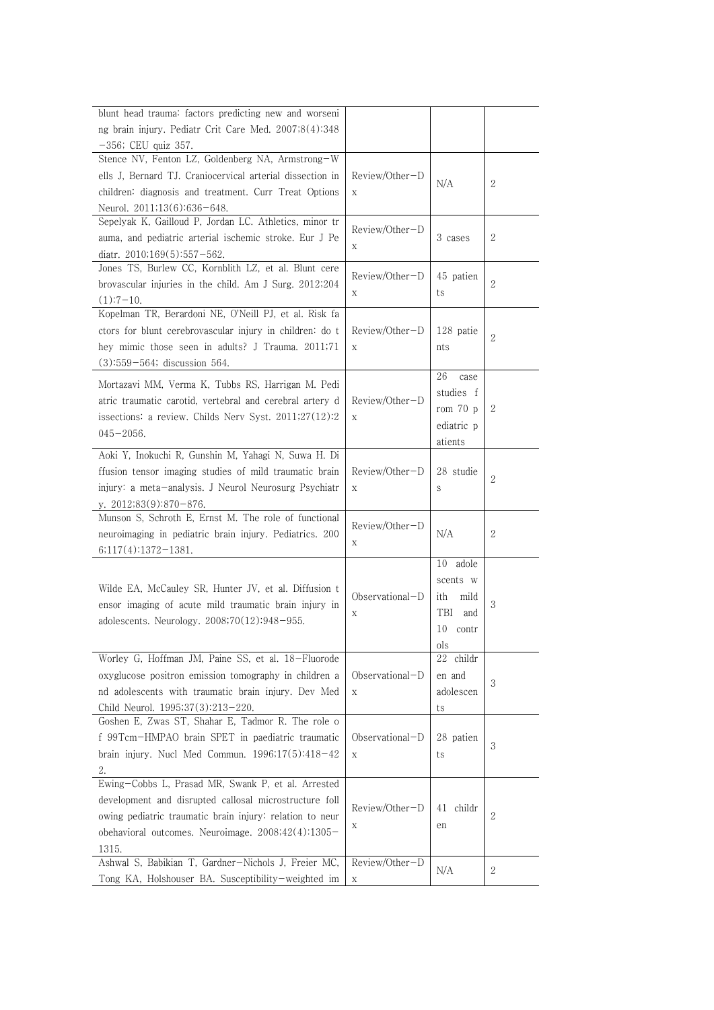| blunt head trauma: factors predicting new and worseni     |                   |             |                |
|-----------------------------------------------------------|-------------------|-------------|----------------|
| ng brain injury. Pediatr Crit Care Med. 2007;8(4):348     |                   |             |                |
| $-356$ ; CEU quiz 357.                                    |                   |             |                |
| Stence NV, Fenton LZ, Goldenberg NA, Armstrong-W          |                   |             |                |
| ells J, Bernard TJ. Craniocervical arterial dissection in | Review/Other-D    | N/A         | 2              |
| children: diagnosis and treatment. Curr Treat Options     | X                 |             |                |
| Neurol. 2011;13(6):636-648.                               |                   |             |                |
| Sepelyak K, Gailloud P, Jordan LC. Athletics, minor tr    | Review/Other-D    |             |                |
| auma, and pediatric arterial ischemic stroke. Eur J Pe    | X                 | 3 cases     | $\mathbf{2}$   |
| diatr. $2010;169(5):557-562$ .                            |                   |             |                |
| Jones TS, Burlew CC, Kornblith LZ, et al. Blunt cere      | Review/Other-D    | 45 patien   |                |
| brovascular injuries in the child. Am J Surg. 2012;204    | $\mathbf X$       | ts          | $\overline{2}$ |
| $(1):7-10.$                                               |                   |             |                |
| Kopelman TR, Berardoni NE, O'Neill PJ, et al. Risk fa     |                   |             |                |
| ctors for blunt cerebrovascular injury in children: do t  | Review/Other-D    | 128 patie   | 2              |
| hey mimic those seen in adults? J Trauma. 2011;71         | $\mathbf X$       | nts         |                |
| $(3):559-564$ ; discussion 564.                           |                   |             |                |
| Mortazavi MM, Verma K, Tubbs RS, Harrigan M. Pedi         |                   | 26<br>case  |                |
| atric traumatic carotid, vertebral and cerebral artery d  | Review/Other-D    | studies f   |                |
| issections: a review. Childs Nerv Syst. 2011;27(12):2     | X                 | rom $70$ p  | 2              |
| $045 - 2056.$                                             |                   | ediatric p  |                |
|                                                           |                   | atients     |                |
| Aoki Y, Inokuchi R, Gunshin M, Yahagi N, Suwa H. Di       |                   |             |                |
| ffusion tensor imaging studies of mild traumatic brain    | Review/Other-D    | 28 studie   | $\overline{2}$ |
| injury: a meta-analysis. J Neurol Neurosurg Psychiatr     | X                 | S           |                |
| y. 2012;83(9):870-876.                                    |                   |             |                |
| Munson S, Schroth E, Ernst M. The role of functional      | Review/Other-D    |             |                |
| neuroimaging in pediatric brain injury. Pediatrics. 200   | Χ                 | N/A         | 2              |
| $6;117(4):1372-1381.$                                     |                   |             |                |
|                                                           |                   | 10 adole    |                |
| Wilde EA, McCauley SR, Hunter JV, et al. Diffusion t      |                   | scents w    |                |
| ensor imaging of acute mild traumatic brain injury in     | Observational-D   | ith<br>mild | 3              |
|                                                           | Χ                 | TBI<br>and  |                |
| adolescents. Neurology. 2008;70(12):948-955.              |                   | 10 contr    |                |
|                                                           |                   | ols         |                |
| Worley G, Hoffman JM, Paine SS, et al. 18-Fluorode        |                   | 22 childr   |                |
| oxyglucose positron emission tomography in children a     | $Observational-D$ | en and      |                |
| nd adolescents with traumatic brain injury. Dev Med       | X                 | adolescen   | $\sqrt{3}$     |
| Child Neurol. 1995;37(3):213-220.                         |                   | ts          |                |
| Goshen E, Zwas ST, Shahar E, Tadmor R. The role o         |                   |             |                |
| f 99Tcm-HMPAO brain SPET in paediatric traumatic          | Observational-D   | 28 patien   |                |
| brain injury. Nucl Med Commun. $1996;17(5):418-42$        | $\mathbf X$       | ts          | 3              |
| 2.                                                        |                   |             |                |
| Ewing-Cobbs L, Prasad MR, Swank P, et al. Arrested        |                   |             |                |
| development and disrupted callosal microstructure foll    |                   |             |                |
| owing pediatric traumatic brain injury: relation to neur  | Review/Other-D    | 41 childr   | $\mathbf{2}$   |
| obehavioral outcomes. Neuroimage. 2008;42(4):1305-        | Χ                 | en          |                |
| 1315.                                                     |                   |             |                |
| Ashwal S, Babikian T, Gardner-Nichols J, Freier MC,       | Review/Other-D    |             |                |
| Tong KA, Holshouser BA. Susceptibility-weighted im        | $\mathbf X$       | N/A         | $\mathbf{2}$   |
|                                                           |                   |             |                |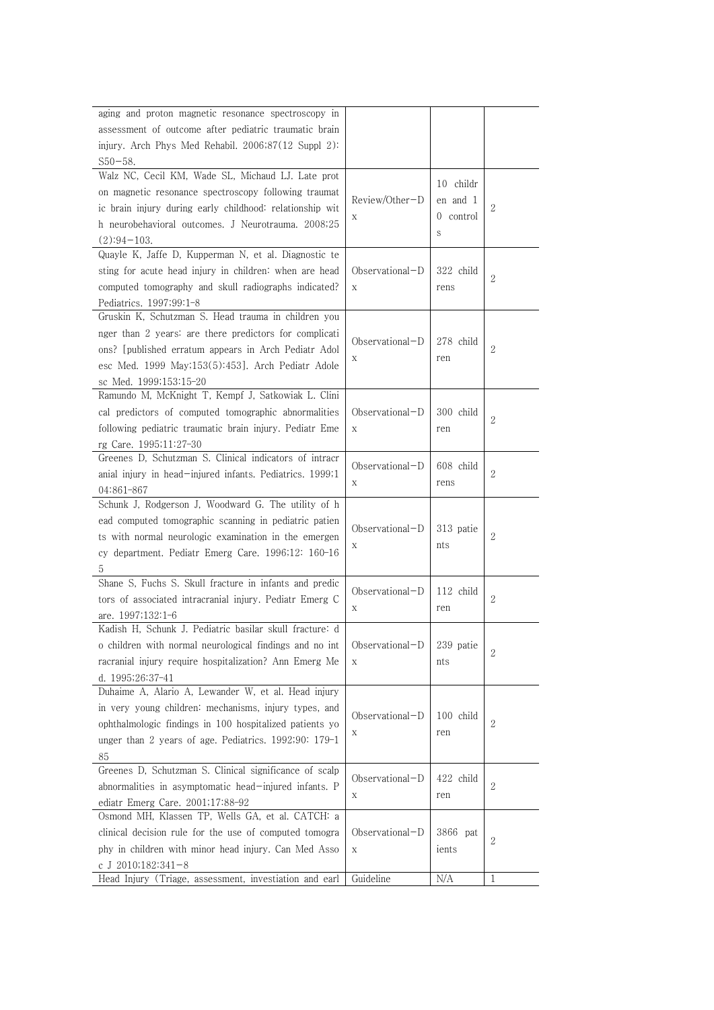| aging and proton magnetic resonance spectroscopy in                          |                   |           |                |
|------------------------------------------------------------------------------|-------------------|-----------|----------------|
| assessment of outcome after pediatric traumatic brain                        |                   |           |                |
| injury. Arch Phys Med Rehabil. 2006;87(12 Suppl 2):                          |                   |           |                |
| $S50 - 58.$                                                                  |                   |           |                |
| Walz NC, Cecil KM, Wade SL, Michaud LJ. Late prot                            |                   |           |                |
| on magnetic resonance spectroscopy following traumat                         |                   | 10 childr |                |
| ic brain injury during early childhood: relationship wit                     | Review/Other-D    | en and 1  | 2              |
| h neurobehavioral outcomes. J Neurotrauma. 2008;25                           | Х                 | 0 control |                |
| $(2):94-103.$                                                                |                   | S         |                |
| Quayle K, Jaffe D, Kupperman N, et al. Diagnostic te                         |                   |           |                |
| sting for acute head injury in children: when are head                       | $Observational-D$ | 322 child |                |
| computed tomography and skull radiographs indicated?                         | X                 | rens      | 2              |
| Pediatrics. 1997;99:1-8                                                      |                   |           |                |
| Gruskin K, Schutzman S. Head trauma in children you                          |                   |           |                |
| nger than 2 years: are there predictors for complicati                       |                   |           |                |
|                                                                              | $Observational-D$ | 278 child | 2              |
| ons? [published erratum appears in Arch Pediatr Adol                         | Χ                 | ren       |                |
| esc Med. 1999 May;153(5):453]. Arch Pediatr Adole                            |                   |           |                |
| sc Med. 1999;153:15-20<br>Ramundo M, McKnight T, Kempf J, Satkowiak L. Clini |                   |           |                |
|                                                                              |                   |           |                |
| cal predictors of computed tomographic abnormalities                         | $Observational-D$ | 300 child | $\overline{2}$ |
| following pediatric traumatic brain injury. Pediatr Eme                      | X                 | ren       |                |
| rg Care. 1995;11:27-30                                                       |                   |           |                |
| Greenes D, Schutzman S. Clinical indicators of intracr                       | Observational-D   | 608 child |                |
| anial injury in head-injured infants. Pediatrics. 1999;1                     | X                 | rens      | $\sqrt{2}$     |
| 04:861-867                                                                   |                   |           |                |
| Schunk J, Rodgerson J, Woodward G. The utility of h                          |                   |           |                |
| ead computed tomographic scanning in pediatric patien                        | $Observational-D$ | 313 patie |                |
| ts with normal neurologic examination in the emergen                         | Χ                 | nts       | 2              |
| cy department. Pediatr Emerg Care. 1996;12: 160-16                           |                   |           |                |
| 5                                                                            |                   |           |                |
| Shane S, Fuchs S. Skull fracture in infants and predic                       | Observational-D   | 112 child |                |
| tors of associated intracranial injury. Pediatr Emerg C                      | X                 | ren       | $\overline{2}$ |
| are. 1997;132:1-6                                                            |                   |           |                |
| Kadish H, Schunk J. Pediatric basilar skull fracture: d                      |                   |           |                |
| o children with normal neurological findings and no int                      | Observational-D   | 239 patie | $\sqrt{2}$     |
| racranial injury require hospitalization? Ann Emerg Me                       | $\mathbf X$       | nts       |                |
| d. 1995;26:37-41                                                             |                   |           |                |
| Duhaime A, Alario A, Lewander W, et al. Head injury                          |                   |           |                |
| in very young children: mechanisms, injury types, and                        | Observational-D   | 100 child |                |
| ophthalmologic findings in 100 hospitalized patients yo                      | Х                 | ren       | $\mathbf{2}$   |
| unger than 2 years of age. Pediatrics. 1992;90: 179-1                        |                   |           |                |
| 85                                                                           |                   |           |                |
| Greenes D, Schutzman S. Clinical significance of scalp                       | Observational-D   | 422 child |                |
| abnormalities in asymptomatic head-injured infants. P                        | X                 | ren       | 2              |
| ediatr Emerg Care. 2001;17:88-92                                             |                   |           |                |
| Osmond MH, Klassen TP, Wells GA, et al. CATCH: a                             |                   |           |                |
| clinical decision rule for the use of computed tomogra                       | Observational-D   | 3866 pat  | 2              |
| phy in children with minor head injury. Can Med Asso                         | $\mathbf X$       | ients     |                |
| c J 2010;182:341-8                                                           |                   |           |                |
| Head Injury (Triage, assessment, investiation and earl                       | Guideline         | N/A       | $\mathbf{1}$   |